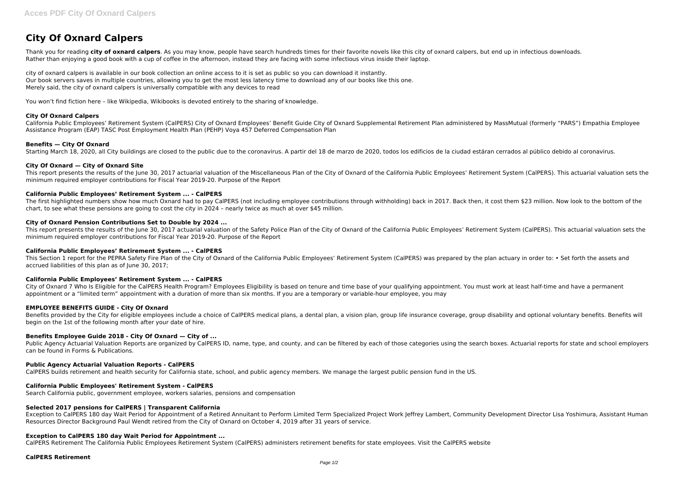# **City Of Oxnard Calpers**

Thank you for reading city of oxnard calpers. As you may know, people have search hundreds times for their favorite novels like this city of oxnard calpers, but end up in infectious downloads. Rather than enjoying a good book with a cup of coffee in the afternoon, instead they are facing with some infectious virus inside their laptop.

city of oxnard calpers is available in our book collection an online access to it is set as public so you can download it instantly. Our book servers saves in multiple countries, allowing you to get the most less latency time to download any of our books like this one. Merely said, the city of oxnard calpers is universally compatible with any devices to read

You won't find fiction here – like Wikipedia, Wikibooks is devoted entirely to the sharing of knowledge.

## **City Of Oxnard Calpers**

California Public Employees' Retirement System (CalPERS) City of Oxnard Employees' Benefit Guide City of Oxnard Supplemental Retirement Plan administered by MassMutual (formerly "PARS") Empathia Employee Assistance Program (EAP) TASC Post Employment Health Plan (PEHP) Voya 457 Deferred Compensation Plan

# **Benefits — City Of Oxnard**

Starting March 18, 2020, all City buildings are closed to the public due to the coronavirus. A partir del 18 de marzo de 2020, todos los edificios de la ciudad estáran cerrados al público debido al coronavirus.

# **City Of Oxnard — City of Oxnard Site**

This report presents the results of the June 30, 2017 actuarial valuation of the Miscellaneous Plan of the City of Oxnard of the California Public Employees' Retirement System (CalPERS). This actuarial valuation sets the minimum required employer contributions for Fiscal Year 2019-20. Purpose of the Report

Benefits provided by the City for eligible employees include a choice of CalPERS medical plans, a dental plan, a vision plan, group life insurance coverage, group disability and optional voluntary benefits. Benefits will begin on the 1st of the following month after your date of hire.

# **California Public Employees' Retirement System ... - CalPERS**

Public Agency Actuarial Valuation Reports are organized by CalPERS ID, name, type, and county, and can be filtered by each of those categories using the search boxes. Actuarial reports for state and school employers can be found in Forms & Publications.

The first highlighted numbers show how much Oxnard had to pay CalPERS (not including employee contributions through withholding) back in 2017. Back then, it cost them \$23 million. Now look to the bottom of the chart, to see what these pensions are going to cost the city in 2024 – nearly twice as much at over \$45 million.

# **City of Oxnard Pension Contributions Set to Double by 2024 ...**

This report presents the results of the June 30, 2017 actuarial valuation of the Safety Police Plan of the City of Oxnard of the California Public Employees' Retirement System (CalPERS). This actuarial valuation sets the minimum required employer contributions for Fiscal Year 2019-20. Purpose of the Report

## **California Public Employees' Retirement System ... - CalPERS**

This Section 1 report for the PEPRA Safety Fire Plan of the City of Oxnard of the California Public Employees' Retirement System (CalPERS) was prepared by the plan actuary in order to: • Set forth the assets and accrued liabilities of this plan as of lune 30, 2017;

## **California Public Employees' Retirement System ... - CalPERS**

City of Oxnard 7 Who Is Eligible for the CalPERS Health Program? Employees Eligibility is based on tenure and time base of your qualifying appointment. You must work at least half-time and have a permanent appointment or a "limited term" appointment with a duration of more than six months. If you are a temporary or variable-hour employee, you may

# **EMPLOYEE BENEFITS GUIDE - City Of Oxnard**

## **Benefits Employee Guide 2018 - City Of Oxnard — City of ...**

# **Public Agency Actuarial Valuation Reports - CalPERS**

CalPERS builds retirement and health security for California state, school, and public agency members. We manage the largest public pension fund in the US.

## **California Public Employees' Retirement System - CalPERS**

Search California public, government employee, workers salaries, pensions and compensation

# **Selected 2017 pensions for CalPERS | Transparent California**

Exception to CalPERS 180 day Wait Period for Appointment of a Retired Annuitant to Perform Limited Term Specialized Project Work Jeffrey Lambert, Community Development Director Lisa Yoshimura, Assistant Human Resources Director Background Paul Wendt retired from the City of Oxnard on October 4, 2019 after 31 years of service.

## **Exception to CalPERS 180 day Wait Period for Appointment ...**

CalPERS Retirement The California Public Employees Retirement System (CalPERS) administers retirement benefits for state employees. Visit the CalPERS website

## **CalPERS Retirement**